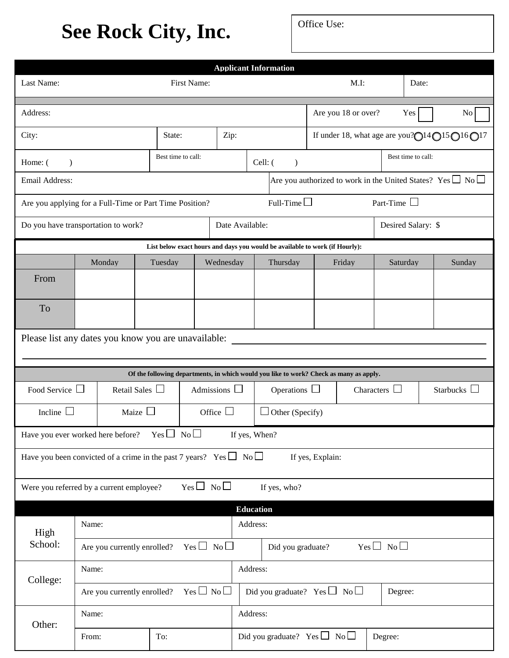## **See Rock City, Inc.**

|                                                                                                 |                                                   |                                  |                    |             |                                                                                        | <b>Applicant Information</b>                                                           |                   |         |                    |                    |        |  |
|-------------------------------------------------------------------------------------------------|---------------------------------------------------|----------------------------------|--------------------|-------------|----------------------------------------------------------------------------------------|----------------------------------------------------------------------------------------|-------------------|---------|--------------------|--------------------|--------|--|
| Last Name:                                                                                      |                                                   |                                  |                    | First Name: |                                                                                        |                                                                                        |                   | $M.I$ : |                    | Date:              |        |  |
| Address:                                                                                        |                                                   | Are you 18 or over?<br>Yes<br>No |                    |             |                                                                                        |                                                                                        |                   |         |                    |                    |        |  |
| City:                                                                                           |                                                   | Zip:<br>State:                   |                    |             | If under 18, what age are you? $\bigcirc$ 14 $\bigcirc$ 15 $\bigcirc$ 16 $\bigcirc$ 17 |                                                                                        |                   |         |                    |                    |        |  |
| Home: (<br>$\lambda$                                                                            |                                                   |                                  | Best time to call: |             |                                                                                        | Cell: $($<br>$\mathcal{E}$                                                             |                   |         | Best time to call: |                    |        |  |
| Are you authorized to work in the United States? Yes $\square$ No $\square$<br>Email Address:   |                                                   |                                  |                    |             |                                                                                        |                                                                                        |                   |         |                    |                    |        |  |
| Full-Time $\Box$<br>Part-Time $\Box$<br>Are you applying for a Full-Time or Part Time Position? |                                                   |                                  |                    |             |                                                                                        |                                                                                        |                   |         |                    |                    |        |  |
|                                                                                                 | Do you have transportation to work?               |                                  |                    |             | Date Available:                                                                        |                                                                                        |                   |         |                    | Desired Salary: \$ |        |  |
|                                                                                                 |                                                   |                                  |                    |             |                                                                                        | List below exact hours and days you would be available to work (if Hourly):            |                   |         |                    |                    |        |  |
|                                                                                                 | Monday                                            |                                  | Tuesday            |             | Wednesday<br>Thursday                                                                  |                                                                                        | Friday            |         | Saturday           |                    | Sunday |  |
| From                                                                                            |                                                   |                                  |                    |             |                                                                                        |                                                                                        |                   |         |                    |                    |        |  |
| <b>To</b>                                                                                       |                                                   |                                  |                    |             |                                                                                        |                                                                                        |                   |         |                    |                    |        |  |
| Please list any dates you know you are unavailable:                                             |                                                   |                                  |                    |             |                                                                                        |                                                                                        |                   |         |                    |                    |        |  |
|                                                                                                 |                                                   |                                  |                    |             |                                                                                        | Of the following departments, in which would you like to work? Check as many as apply. |                   |         |                    |                    |        |  |
| Food Service $\Box$<br>Retail Sales $\Box$                                                      |                                                   |                                  | Admissions $\Box$  |             | Operations $\Box$                                                                      |                                                                                        | Characters $\Box$ |         | Starbucks $\Box$   |                    |        |  |
| Maize $\Box$<br>Incline $\Box$                                                                  |                                                   |                                  | Office $\Box$      |             | $\Box$ Other (Specify)                                                                 |                                                                                        |                   |         |                    |                    |        |  |
| Have you ever worked here before?                                                               |                                                   |                                  | $Yes \Box No \Box$ |             |                                                                                        | If yes, When?                                                                          |                   |         |                    |                    |        |  |
| Have you been convicted of a crime in the past 7 years? Yes $\Box$ No $\Box$                    |                                                   |                                  |                    |             |                                                                                        |                                                                                        | If yes, Explain:  |         |                    |                    |        |  |
| $Yes \Box No \Box$<br>Were you referred by a current employee?<br>If yes, who?                  |                                                   |                                  |                    |             |                                                                                        |                                                                                        |                   |         |                    |                    |        |  |
|                                                                                                 |                                                   |                                  |                    |             |                                                                                        | <b>Education</b>                                                                       |                   |         |                    |                    |        |  |
| High<br>School:                                                                                 | Name:                                             |                                  |                    |             |                                                                                        | Address:                                                                               |                   |         |                    |                    |        |  |
|                                                                                                 | $Yes \Box No \Box$<br>Are you currently enrolled? |                                  |                    |             |                                                                                        | $Yes \Box No \Box$<br>Did you graduate?                                                |                   |         |                    |                    |        |  |
| College:                                                                                        | Name:                                             |                                  |                    |             |                                                                                        | Address:                                                                               |                   |         |                    |                    |        |  |
|                                                                                                 | $Yes \Box No \Box$<br>Are you currently enrolled? |                                  |                    |             |                                                                                        | Did you graduate? Yes $\Box$ No $\Box$<br>Degree:                                      |                   |         |                    |                    |        |  |
| Other:                                                                                          | Name:                                             |                                  |                    |             |                                                                                        | Address:                                                                               |                   |         |                    |                    |        |  |
|                                                                                                 | From:                                             |                                  | To:                |             |                                                                                        | Did you graduate? Yes $\Box$ No $\Box$                                                 |                   |         | Degree:            |                    |        |  |